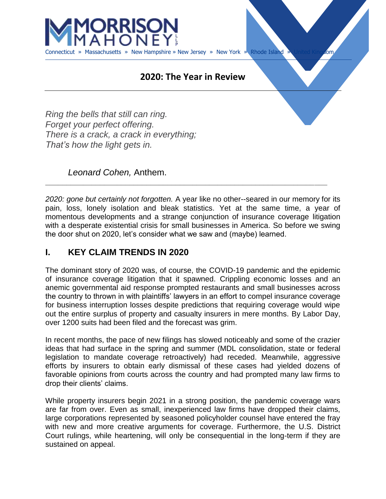

# **2020: The Year in Review**

*Ring the bells that still can ring. Forget your perfect offering. There is a crack, a crack in everything; That's how the light gets in.*

*Leonard Cohen,* Anthem.

*2020: gone but certainly not forgotten.* A year like no other--seared in our memory for its pain, loss, lonely isolation and bleak statistics. Yet at the same time, a year of momentous developments and a strange conjunction of insurance coverage litigation with a desperate existential crisis for small businesses in America. So before we swing the door shut on 2020, let's consider what we saw and (maybe) learned.

**\_\_\_\_\_\_\_\_\_\_\_\_\_\_\_\_\_\_\_\_\_\_\_\_\_\_\_\_\_\_\_\_\_\_\_\_\_\_\_\_\_\_\_\_\_\_\_\_\_\_\_\_\_\_\_\_\_\_\_\_\_\_\_\_\_\_\_**

# **I. KEY CLAIM TRENDS IN 2020**

The dominant story of 2020 was, of course, the COVID-19 pandemic and the epidemic of insurance coverage litigation that it spawned. Crippling economic losses and an anemic governmental aid response prompted restaurants and small businesses across the country to thrown in with plaintiffs' lawyers in an effort to compel insurance coverage for business interruption losses despite predictions that requiring coverage would wipe out the entire surplus of property and casualty insurers in mere months. By Labor Day, over 1200 suits had been filed and the forecast was grim.

In recent months, the pace of new filings has slowed noticeably and some of the crazier ideas that had surface in the spring and summer (MDL consolidation, state or federal legislation to mandate coverage retroactively) had receded. Meanwhile, aggressive efforts by insurers to obtain early dismissal of these cases had yielded dozens of favorable opinions from courts across the country and had prompted many law firms to drop their clients' claims.

While property insurers begin 2021 in a strong position, the pandemic coverage wars are far from over. Even as small, inexperienced law firms have dropped their claims, large corporations represented by seasoned policyholder counsel have entered the fray with new and more creative arguments for coverage. Furthermore, the U.S. District Court rulings, while heartening, will only be consequential in the long-term if they are sustained on appeal.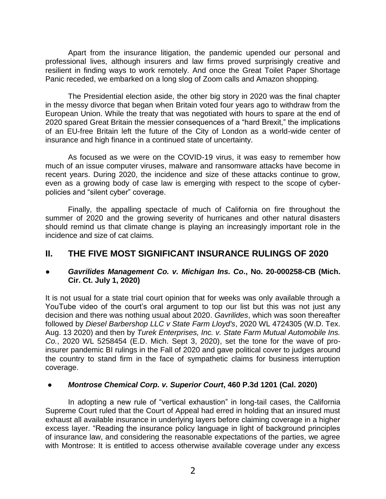Apart from the insurance litigation, the pandemic upended our personal and professional lives, although insurers and law firms proved surprisingly creative and resilient in finding ways to work remotely. And once the Great Toilet Paper Shortage Panic receded, we embarked on a long slog of Zoom calls and Amazon shopping.

The Presidential election aside, the other big story in 2020 was the final chapter in the messy divorce that began when Britain voted four years ago to withdraw from the European Union. While the treaty that was negotiated with hours to spare at the end of 2020 spared Great Britain the messier consequences of a "hard Brexit," the implications of an EU-free Britain left the future of the City of London as a world-wide center of insurance and high finance in a continued state of uncertainty.

As focused as we were on the COVID-19 virus, it was easy to remember how much of an issue computer viruses, malware and ransomware attacks have become in recent years. During 2020, the incidence and size of these attacks continue to grow, even as a growing body of case law is emerging with respect to the scope of cyberpolicies and "silent cyber" coverage.

Finally, the appalling spectacle of much of California on fire throughout the summer of 2020 and the growing severity of hurricanes and other natural disasters should remind us that climate change is playing an increasingly important role in the incidence and size of cat claims.

## **II. THE FIVE MOST SIGNIFICANT INSURANCE RULINGS OF 2020**

## *● Gavrilides Management Co. v. Michigan Ins. Co***., No. 20-000258-CB (Mich. Cir. Ct. July 1, 2020)**

It is not usual for a state trial court opinion that for weeks was only available through a YouTube video of the court's oral argument to top our list but this was not just any decision and there was nothing usual about 2020. *Gavrilides*, which was soon thereafter followed by *Diesel Barbershop LLC v State Farm Lloyd's*, 2020 WL 4724305 (W.D. Tex. Aug. 13 2020) and then by *Turek Enterprises, Inc. v. State Farm Mutual Automobile Ins. Co.*, 2020 WL 5258454 (E.D. Mich. Sept 3, 2020), set the tone for the wave of proinsurer pandemic BI rulings in the Fall of 2020 and gave political cover to judges around the country to stand firm in the face of sympathetic claims for business interruption coverage.

## *● Montrose Chemical Corp. v. Superior Court***, 460 P.3d 1201 (Cal. 2020)**

In adopting a new rule of "vertical exhaustion" in long-tail cases, the California Supreme Court ruled that the Court of Appeal had erred in holding that an insured must exhaust all available insurance in underlying layers before claiming coverage in a higher excess layer. "Reading the insurance policy language in light of background principles of insurance law, and considering the reasonable expectations of the parties, we agree with Montrose: It is entitled to access otherwise available coverage under any excess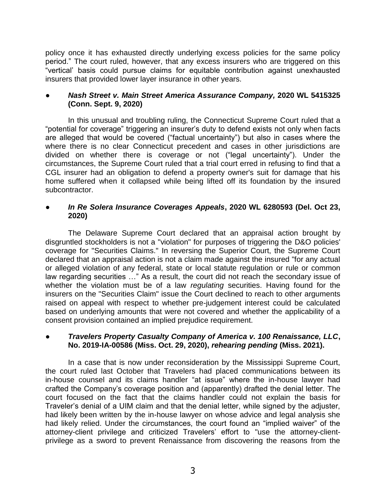policy once it has exhausted directly underlying excess policies for the same policy period." The court ruled, however, that any excess insurers who are triggered on this "vertical' basis could pursue claims for equitable contribution against unexhausted insurers that provided lower layer insurance in other years.

## *● Nash Street v. Main Street America Assurance Company,* **2020 WL 5415325 (Conn. Sept. 9, 2020)**

In this unusual and troubling ruling, the Connecticut Supreme Court ruled that a "potential for coverage" triggering an insurer's duty to defend exists not only when facts are alleged that would be covered ("factual uncertainty") but also in cases where the where there is no clear Connecticut precedent and cases in other jurisdictions are divided on whether there is coverage or not ("legal uncertainty"). Under the circumstances, the Supreme Court ruled that a trial court erred in refusing to find that a CGL insurer had an obligation to defend a property owner's suit for damage that his home suffered when it collapsed while being lifted off its foundation by the insured subcontractor.

#### *● In Re Solera Insurance Coverages Appeals***, 2020 WL 6280593 (Del. Oct 23, 2020)**

The Delaware Supreme Court declared that an appraisal action brought by disgruntled stockholders is not a "violation" for purposes of triggering the D&O policies' coverage for "Securities Claims." In reversing the Superior Court, the Supreme Court declared that an appraisal action is not a claim made against the insured "for any actual or alleged violation of any federal, state or local statute regulation or rule or common law regarding securities …" As a result, the court did not reach the secondary issue of whether the violation must be of a law *regulating* securities. Having found for the insurers on the "Securities Claim" issue the Court declined to reach to other arguments raised on appeal with respect to whether pre-judgement interest could be calculated based on underlying amounts that were not covered and whether the applicability of a consent provision contained an implied prejudice requirement.

#### *● Travelers Property Casualty Company of America v. 100 Renaissance, LLC***, No. 2019-IA-00586 (Miss. Oct. 29, 2020),** *rehearing pending* **(Miss. 2021).**

In a case that is now under reconsideration by the Mississippi Supreme Court, the court ruled last October that Travelers had placed communications between its in-house counsel and its claims handler "at issue" where the in-house lawyer had crafted the Company's coverage position and (apparently) drafted the denial letter. The court focused on the fact that the claims handler could not explain the basis for Traveler's denial of a UIM claim and that the denial letter, while signed by the adjuster, had likely been written by the in-house lawyer on whose advice and legal analysis she had likely relied. Under the circumstances, the court found an "implied waiver" of the attorney-client privilege and criticized Travelers' effort to "use the attorney-clientprivilege as a sword to prevent Renaissance from discovering the reasons from the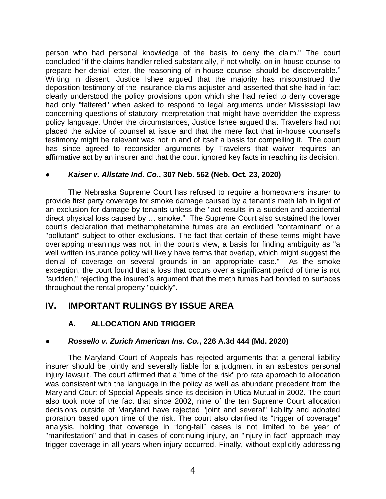person who had personal knowledge of the basis to deny the claim." The court concluded "if the claims handler relied substantially, if not wholly, on in-house counsel to prepare her denial letter, the reasoning of in-house counsel should be discoverable." Writing in dissent, Justice Ishee argued that the majority has misconstrued the deposition testimony of the insurance claims adjuster and asserted that she had in fact clearly understood the policy provisions upon which she had relied to deny coverage had only "faltered" when asked to respond to legal arguments under Mississippi law concerning questions of statutory interpretation that might have overridden the express policy language. Under the circumstances, Justice Ishee argued that Travelers had not placed the advice of counsel at issue and that the mere fact that in-house counsel's testimony might be relevant was not in and of itself a basis for compelling it. The court has since agreed to reconsider arguments by Travelers that waiver requires an affirmative act by an insurer and that the court ignored key facts in reaching its decision.

## **●** *Kaiser v. Allstate Ind. Co***., 307 Neb. 562 (Neb. Oct. 23, 2020)**

The Nebraska Supreme Court has refused to require a homeowners insurer to provide first party coverage for smoke damage caused by a tenant's meth lab in light of an exclusion for damage by tenants unless the "act results in a sudden and accidental direct physical loss caused by … smoke." The Supreme Court also sustained the lower court's declaration that methamphetamine fumes are an excluded "contaminant" or a "pollutant" subject to other exclusions. The fact that certain of these terms might have overlapping meanings was not, in the court's view, a basis for finding ambiguity as "a well written insurance policy will likely have terms that overlap, which might suggest the denial of coverage on several grounds in an appropriate case." As the smoke exception, the court found that a loss that occurs over a significant period of time is not "sudden," rejecting the insured's argument that the meth fumes had bonded to surfaces throughout the rental property "quickly".

# **IV. IMPORTANT RULINGS BY ISSUE AREA**

## **A. ALLOCATION AND TRIGGER**

## **●** *Rossello v. Zurich American Ins. Co.***, 226 A.3d 444 (Md. 2020)**

The Maryland Court of Appeals has rejected arguments that a general liability insurer should be jointly and severally liable for a judgment in an asbestos personal injury lawsuit. The court affirmed that a "time of the risk" pro rata approach to allocation was consistent with the language in the policy as well as abundant precedent from the Maryland Court of Special Appeals since its decision in Utica Mutual in 2002. The court also took note of the fact that since 2002, nine of the ten Supreme Court allocation decisions outside of Maryland have rejected "joint and several" liability and adopted proration based upon time of the risk. The court also clarified its "trigger of coverage" analysis, holding that coverage in "long-tail" cases is not limited to be year of "manifestation" and that in cases of continuing injury, an "injury in fact" approach may trigger coverage in all years when injury occurred. Finally, without explicitly addressing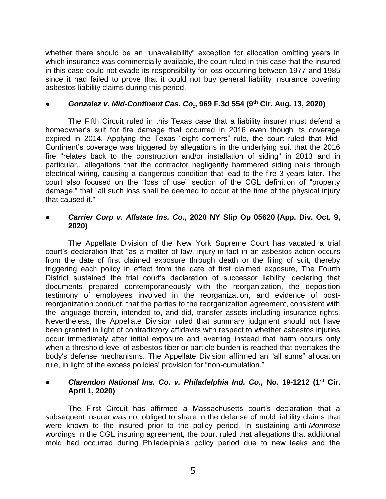whether there should be an "unavailability" exception for allocation omitting years in which insurance was commercially available, the court ruled in this case that the insured in this case could not evade its responsibility for loss occurring between 1977 and 1985 since it had failed to prove that it could not buy general liability insurance covering asbestos liability claims during this period.

#### **●** *Gonzalez v. Mid-Continent Cas. Co***., 969 F.3d 554 (9th Cir. Aug. 13, 2020)**

The Fifth Circuit ruled in this Texas case that a liability insurer must defend a homeowner's suit for fire damage that occurred in 2016 even though its coverage expired in 2014. Applying the Texas "eight corners" rule, the court ruled that Mid-Continent's coverage was triggered by allegations in the underlying suit that the 2016 fire "relates back to the construction and/or installation of siding" in 2013 and in particular,, allegations that the contractor negligently hammered siding nails through electrical wiring, causing a dangerous condition that lead to the fire 3 years later. The court also focused on the "loss of use" section of the CGL definition of "property damage," that "all such loss shall be deemed to occur at the time of the physical injury that caused it."

#### *● Carrier Corp v. Allstate Ins. Co.,* **2020 NY Slip Op 05620 (App. Div. Oct. 9, 2020)**

The Appellate Division of the New York Supreme Court has vacated a trial court's declaration that "as a matter of law, injury-in-fact in an asbestos action occurs from the date of first claimed exposure through death or the filing of suit, thereby triggering each policy in effect from the date of first claimed exposure, The Fourth District sustained the trial court's declaration of successor liability, declaring that documents prepared contemporaneously with the reorganization, the deposition testimony of employees involved in the reorganization, and evidence of postreorganization conduct, that the parties to the reorganization agreement, consistent with the language therein, intended to, and did, transfer assets including insurance rights. Nevertheless, the Appellate Division ruled that summary judgment should not have been granted in light of contradictory affidavits with respect to whether asbestos injuries occur immediately after initial exposure and averring instead that harm occurs only when a threshold level of asbestos fiber or particle burden is reached that overtakes the body's defense mechanisms. The Appellate Division affirmed an "all sums" allocation rule, in light of the excess policies' provision for "non-cumulation."

#### *● Clarendon National Ins. Co. v. Philadelphia Ind. Co.,* **No. 19-1212 (1st Cir. April 1, 2020)**

The First Circuit has affirmed a Massachusetts court's declaration that a subsequent insurer was not obliged to share in the defense of mold liability claims that were known to the insured prior to the policy period. In sustaining anti-*Montrose* wordings in the CGL insuring agreement, the court ruled that allegations that additional mold had occurred during Philadelphia's policy period due to new leaks and the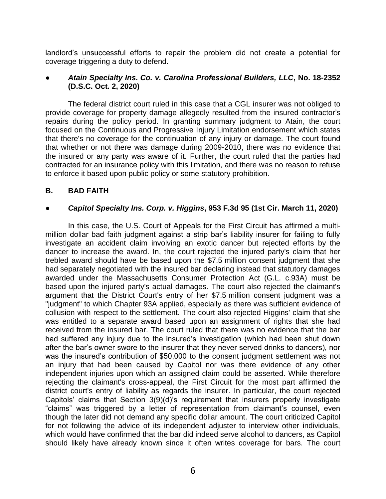landlord's unsuccessful efforts to repair the problem did not create a potential for coverage triggering a duty to defend.

## *● Atain Specialty Ins. Co. v. Carolina Professional Builders, LLC***, No. 18-2352 (D.S.C. Oct. 2, 2020)**

The federal district court ruled in this case that a CGL insurer was not obliged to provide coverage for property damage allegedly resulted from the insured contractor's repairs during the policy period. In granting summary judgment to Atain, the court focused on the Continuous and Progressive Injury Limitation endorsement which states that there's no coverage for the continuation of any injury or damage. The court found that whether or not there was damage during 2009-2010, there was no evidence that the insured or any party was aware of it. Further, the court ruled that the parties had contracted for an insurance policy with this limitation, and there was no reason to refuse to enforce it based upon public policy or some statutory prohibition.

## **B. BAD FAITH**

#### ● *Capitol Specialty Ins. Corp. v. Higgins***, 953 F.3d 95 (1st Cir. March 11, 2020)**

In this case, the U.S. Court of Appeals for the First Circuit has affirmed a multimillion dollar bad faith judgment against a strip bar's liability insurer for failing to fully investigate an accident claim involving an exotic dancer but rejected efforts by the dancer to increase the award. In, the court rejected the injured party's claim that her trebled award should have be based upon the \$7.5 million consent judgment that she had separately negotiated with the insured bar declaring instead that statutory damages awarded under the Massachusetts Consumer Protection Act (G.L. c.93A) must be based upon the injured party's actual damages. The court also rejected the claimant's argument that the District Court's entry of her \$7.5 million consent judgment was a "judgment" to which Chapter 93A applied, especially as there was sufficient evidence of collusion with respect to the settlement. The court also rejected Higgins' claim that she was entitled to a separate award based upon an assignment of rights that she had received from the insured bar. The court ruled that there was no evidence that the bar had suffered any injury due to the insured's investigation (which had been shut down after the bar's owner swore to the insurer that they never served drinks to dancers), nor was the insured's contribution of \$50,000 to the consent judgment settlement was not an injury that had been caused by Capitol nor was there evidence of any other independent injuries upon which an assigned claim could be asserted. While therefore rejecting the claimant's cross-appeal, the First Circuit for the most part affirmed the district court's entry of liability as regards the insurer. In particular, the court rejected Capitols' claims that Section 3(9)(d)'s requirement that insurers properly investigate "claims" was triggered by a letter of representation from claimant's counsel, even though the later did not demand any specific dollar amount. The court criticized Capitol for not following the advice of its independent adjuster to interview other individuals, which would have confirmed that the bar did indeed serve alcohol to dancers, as Capitol should likely have already known since it often writes coverage for bars. The court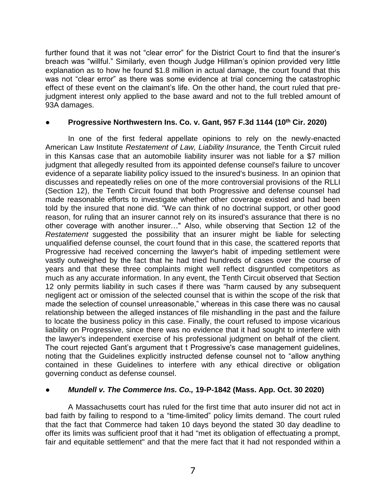further found that it was not "clear error" for the District Court to find that the insurer's breach was "willful." Similarly, even though Judge Hillman's opinion provided very little explanation as to how he found \$1.8 million in actual damage, the court found that this was not "clear error" as there was some evidence at trial concerning the catastrophic effect of these event on the claimant's life. On the other hand, the court ruled that prejudgment interest only applied to the base award and not to the full trebled amount of 93A damages.

## **● Progressive Northwestern Ins. Co. v. Gant, 957 F.3d 1144 (10th Cir. 2020)**

In one of the first federal appellate opinions to rely on the newly-enacted American Law Institute *Restatement of Law, Liability Insurance,* the Tenth Circuit ruled in this Kansas case that an automobile liability insurer was not liable for a \$7 million judgment that allegedly resulted from its appointed defense counsel's failure to uncover evidence of a separate liability policy issued to the insured's business. In an opinion that discusses and repeatedly relies on one of the more controversial provisions of the RLLI (Section 12), the Tenth Circuit found that both Progressive and defense counsel had made reasonable efforts to investigate whether other coverage existed and had been told by the insured that none did. "We can think of no doctrinal support, or other good reason, for ruling that an insurer cannot rely on its insured's assurance that there is no other coverage with another insurer…" Also, while observing that Section 12 of the *Restatement* suggested the possibility that an insurer might be liable for selecting unqualified defense counsel, the court found that in this case, the scattered reports that Progressive had received concerning the lawyer's habit of impeding settlement were vastly outweighed by the fact that he had tried hundreds of cases over the course of years and that these three complaints might well reflect disgruntled competitors as much as any accurate information. In any event, the Tenth Circuit observed that Section 12 only permits liability in such cases if there was "harm caused by any subsequent negligent act or omission of the selected counsel that is within the scope of the risk that made the selection of counsel unreasonable," whereas in this case there was no causal relationship between the alleged instances of file mishandling in the past and the failure to locate the business policy in this case. Finally, the court refused to impose vicarious liability on Progressive, since there was no evidence that it had sought to interfere with the lawyer's independent exercise of his professional judgment on behalf of the client. The court rejected Gant's argument that t Progressive's case management guidelines, noting that the Guidelines explicitly instructed defense counsel not to "allow anything contained in these Guidelines to interfere with any ethical directive or obligation governing conduct as defense counsel.

#### *● Mundell v. The Commerce Ins. Co.,* **19-P-1842 (Mass. App. Oct. 30 2020)**

A Massachusetts court has ruled for the first time that auto insurer did not act in bad faith by failing to respond to a "time-limited" policy limits demand. The court ruled that the fact that Commerce had taken 10 days beyond the stated 30 day deadline to offer its limits was sufficient proof that it had "met its obligation of effectuating a prompt, fair and equitable settlement" and that the mere fact that it had not responded within a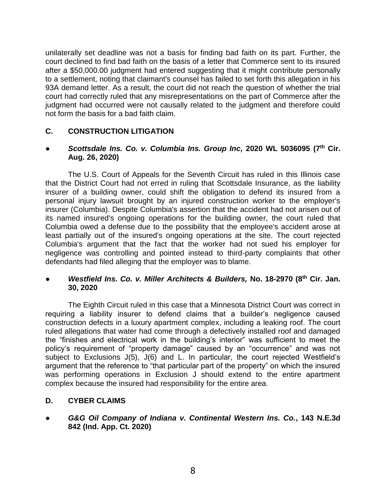unilaterally set deadline was not a basis for finding bad faith on its part. Further, the court declined to find bad faith on the basis of a letter that Commerce sent to its insured after a \$50,000.00 judgment had entered suggesting that it might contribute personally to a settlement, noting that claimant's counsel has failed to set forth this allegation in his 93A demand letter. As a result, the court did not reach the question of whether the trial court had correctly ruled that any misrepresentations on the part of Commerce after the judgment had occurred were not causally related to the judgment and therefore could not form the basis for a bad faith claim.

## **C. CONSTRUCTION LITIGATION**

## *● Scottsdale Ins. Co. v. Columbia Ins. Group Inc,* **2020 WL 5036095 (7 th Cir. Aug. 26, 2020)**

The U.S. Court of Appeals for the Seventh Circuit has ruled in this Illinois case that the District Court had not erred in ruling that Scottsdale Insurance, as the liability insurer of a building owner, could shift the obligation to defend its insured from a personal injury lawsuit brought by an injured construction worker to the employer's insurer (Columbia). Despite Columbia's assertion that the accident had not arisen out of its named insured's ongoing operations for the building owner, the court ruled that Columbia owed a defense due to the possibility that the employee's accident arose at least partially out of the insured's ongoing operations at the site. The court rejected Columbia's argument that the fact that the worker had not sued his employer for negligence was controlling and pointed instead to third-party complaints that other defendants had filed alleging that the employer was to blame.

#### **●** *Westfield Ins. Co. v. Miller Architects & Builders,* **No. 18-2970 (8th Cir. Jan. 30, 2020**

The Eighth Circuit ruled in this case that a Minnesota District Court was correct in requiring a liability insurer to defend claims that a builder's negligence caused construction defects in a luxury apartment complex, including a leaking roof. The court ruled allegations that water had come through a defectively installed roof and damaged the "finishes and electrical work in the building's interior" was sufficient to meet the policy's requirement of "property damage" caused by an "occurrence" and was not subject to Exclusions J(5), J(6) and L. In particular, the court rejected Westfield's argument that the reference to "that particular part of the property" on which the insured was performing operations in Exclusion J should extend to the entire apartment complex because the insured had responsibility for the entire area.

#### **D. CYBER CLAIMS**

*● G&G Oil Company of Indiana v. Continental Western Ins. Co.***, 143 N.E.3d 842 (Ind. App. Ct. 2020)**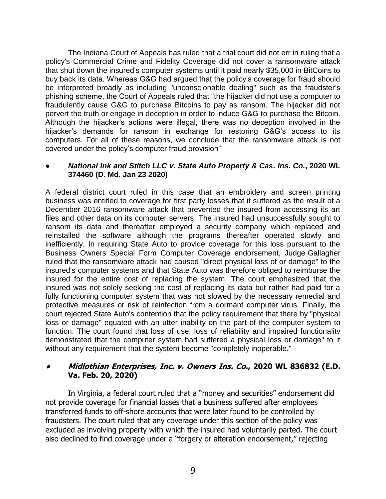The Indiana Court of Appeals has ruled that a trial court did not err in ruling that a policy's Commercial Crime and Fidelity Coverage did not cover a ransomware attack that shut down the insured's computer systems until it paid nearly \$35,000 in BitCoins to buy back its data. Whereas G&G had argued that the policy's coverage for fraud should be interpreted broadly as including "unconscionable dealing" such as the fraudster's phishing scheme, the Court of Appeals ruled that "the hijacker did not use a computer to fraudulently cause G&G to purchase Bitcoins to pay as ransom. The hijacker did not pervert the truth or engage in deception in order to induce G&G to purchase the Bitcoin. Although the hijacker's actions were illegal, there was no deception involved in the hijacker's demands for ransom in exchange for restoring G&G's access to its computers. For all of these reasons, we conclude that the ransomware attack is not covered under the policy's computer fraud provision"

## *● National Ink and Stitch LLC v. State Auto Property & Cas. Ins. Co.***, 2020 WL 374460 (D. Md. Jan 23 2020)**

A federal district court ruled in this case that an embroidery and screen printing business was entitled to coverage for first party losses that it suffered as the result of a December 2016 ransomware attack that prevented the insured from accessing its art files and other data on its computer servers. The insured had unsuccessfully sought to ransom its data and thereafter employed a security company which replaced and reinstalled the software although the programs thereafter operated slowly and inefficiently. In requiring State Auto to provide coverage for this loss pursuant to the Business Owners Special Form Computer Coverage endorsement, Judge Gallagher ruled that the ransomware attack had caused "direct physical loss of or damage" to the insured's computer systems and that State Auto was therefore obliged to reimburse the insured for the entire cost of replacing the system. The court emphasized that the insured was not solely seeking the cost of replacing its data but rather had paid for a fully functioning computer system that was not slowed by the necessary remedial and protective measures or risk of reinfection from a dormant computer virus. Finally, the court rejected State Auto's contention that the policy requirement that there by "physical loss or damage" equated with an utter inability on the part of the computer system to function. The court found that loss of use, loss of reliability and impaired functionality demonstrated that the computer system had suffered a physical loss or damage" to it without any requirement that the system become "completely inoperable."

#### **● Midlothian Enterprises, Inc. v. Owners Ins. Co., 2020 WL 836832 (E.D. Va. Feb. 20, 2020)**

In Virginia, a federal court ruled that a "money and securities" endorsement did not provide coverage for financial losses that a business suffered after employees transferred funds to off-shore accounts that were later found to be controlled by fraudsters. The court ruled that any coverage under this section of the policy was excluded as involving property with which the insured had voluntarily parted. The court also declined to find coverage under a "forgery or alteration endorsement," rejecting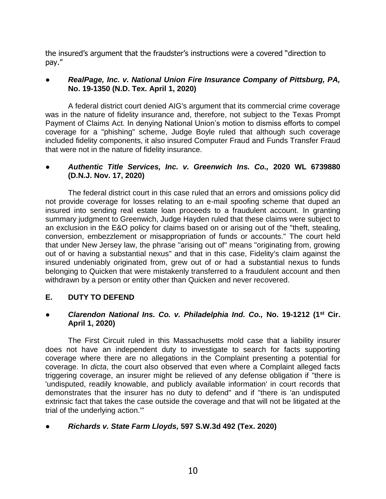the insured's argument that the fraudster's instructions were a covered "direction to pay."

## *● RealPage, Inc. v. National Union Fire Insurance Company of Pittsburg, PA,*  **No. 19-1350 (N.D. Tex. April 1, 2020)**

A federal district court denied AIG's argument that its commercial crime coverage was in the nature of fidelity insurance and, therefore, not subject to the Texas Prompt Payment of Claims Act. In denying National Union's motion to dismiss efforts to compel coverage for a "phishing" scheme, Judge Boyle ruled that although such coverage included fidelity components, it also insured Computer Fraud and Funds Transfer Fraud that were not in the nature of fidelity insurance.

## *● Authentic Title Services, Inc. v. Greenwich Ins. Co.,* **2020 WL 6739880 (D.N.J. Nov. 17, 2020)**

The federal district court in this case ruled that an errors and omissions policy did not provide coverage for losses relating to an e-mail spoofing scheme that duped an insured into sending real estate loan proceeds to a fraudulent account. In granting summary judgment to Greenwich, Judge Hayden ruled that these claims were subject to an exclusion in the E&O policy for claims based on or arising out of the "theft, stealing, conversion, embezzlement or misappropriation of funds or accounts." The court held that under New Jersey law, the phrase "arising out of" means "originating from, growing out of or having a substantial nexus" and that in this case, Fidelity's claim against the insured undeniably originated from, grew out of or had a substantial nexus to funds belonging to Quicken that were mistakenly transferred to a fraudulent account and then withdrawn by a person or entity other than Quicken and never recovered.

## **E. DUTY TO DEFEND**

## *● Clarendon National Ins. Co. v. Philadelphia Ind. Co.,* **No. 19-1212 (1st Cir. April 1, 2020)**

The First Circuit ruled in this Massachusetts mold case that a liability insurer does not have an independent duty to investigate to search for facts supporting coverage where there are no allegations in the Complaint presenting a potential for coverage. In *dicta*, the court also observed that even where a Complaint alleged facts triggering coverage, an insurer might be relieved of any defense obligation if "there is 'undisputed, readily knowable, and publicly available information' in court records that demonstrates that the insurer has no duty to defend" and if "there is 'an undisputed extrinsic fact that takes the case outside the coverage and that will not be litigated at the trial of the underlying action.'"

## *● Richards v. State Farm Lloyds,* **597 S.W.3d 492 (Tex. 2020)**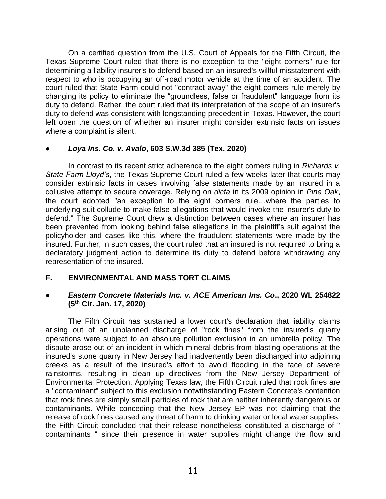On a certified question from the U.S. Court of Appeals for the Fifth Circuit, the Texas Supreme Court ruled that there is no exception to the "eight corners" rule for determining a liability insurer's to defend based on an insured's willful misstatement with respect to who is occupying an off-road motor vehicle at the time of an accident. The court ruled that State Farm could not "contract away" the eight corners rule merely by changing its policy to eliminate the "groundless, false or fraudulent" language from its duty to defend. Rather, the court ruled that its interpretation of the scope of an insurer's duty to defend was consistent with longstanding precedent in Texas. However, the court left open the question of whether an insurer might consider extrinsic facts on issues where a complaint is silent.

#### *● Loya Ins. Co. v. Avalo***, 603 S.W.3d 385 (Tex. 2020)**

In contrast to its recent strict adherence to the eight corners ruling in *Richards v. State Farm Lloyd's*, the Texas Supreme Court ruled a few weeks later that courts may consider extrinsic facts in cases involving false statements made by an insured in a collusive attempt to secure coverage. Relying on *dicta* in its 2009 opinion in *Pine Oak*, the court adopted "an exception to the eight corners rule…where the parties to underlying suit collude to make false allegations that would invoke the insurer's duty to defend." The Supreme Court drew a distinction between cases where an insurer has been prevented from looking behind false allegations in the plaintiff's suit against the policyholder and cases like this, where the fraudulent statements were made by the insured. Further, in such cases, the court ruled that an insured is not required to bring a declaratory judgment action to determine its duty to defend before withdrawing any representation of the insured.

## **F. ENVIRONMENTAL AND MASS TORT CLAIMS**

## *● Eastern Concrete Materials Inc. v. ACE American Ins. Co***., 2020 WL 254822 (5th Cir. Jan. 17, 2020)**

The Fifth Circuit has sustained a lower court's declaration that liability claims arising out of an unplanned discharge of "rock fines" from the insured's quarry operations were subject to an absolute pollution exclusion in an umbrella policy. The dispute arose out of an incident in which mineral debris from blasting operations at the insured's stone quarry in New Jersey had inadvertently been discharged into adjoining creeks as a result of the insured's effort to avoid flooding in the face of severe rainstorms, resulting in clean up directives from the New Jersey Department of Environmental Protection. Applying Texas law, the Fifth Circuit ruled that rock fines are a "contaminant" subject to this exclusion notwithstanding Eastern Concrete's contention that rock fines are simply small particles of rock that are neither inherently dangerous or contaminants. While conceding that the New Jersey EP was not claiming that the release of rock fines caused any threat of harm to drinking water or local water supplies, the Fifth Circuit concluded that their release nonetheless constituted a discharge of " contaminants " since their presence in water supplies might change the flow and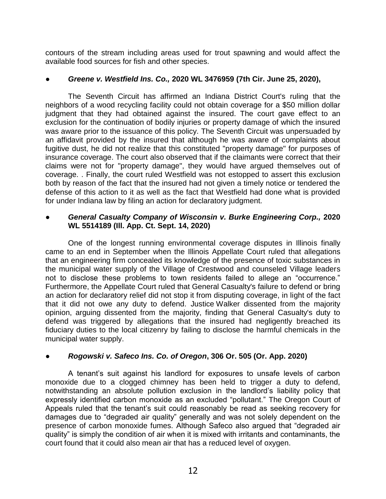contours of the stream including areas used for trout spawning and would affect the available food sources for fish and other species.

## *● Greene v. Westfield Ins. Co.,* **2020 WL 3476959 (7th Cir. June 25, 2020),**

The Seventh Circuit has affirmed an Indiana District Court's ruling that the neighbors of a wood recycling facility could not obtain coverage for a \$50 million dollar judgment that they had obtained against the insured. The court gave effect to an exclusion for the continuation of bodily injuries or property damage of which the insured was aware prior to the issuance of this policy. The Seventh Circuit was unpersuaded by an affidavit provided by the insured that although he was aware of complaints about fugitive dust, he did not realize that this constituted "property damage" for purposes of insurance coverage. The court also observed that if the claimants were correct that their claims were not for "property damage", they would have argued themselves out of coverage. . Finally, the court ruled Westfield was not estopped to assert this exclusion both by reason of the fact that the insured had not given a timely notice or tendered the defense of this action to it as well as the fact that Westfield had done what is provided for under Indiana law by filing an action for declaratory judgment.

#### *● General Casualty Company of Wisconsin v. Burke Engineering Corp.,* **2020 WL 5514189 (Ill. App. Ct. Sept. 14, 2020)**

One of the longest running environmental coverage disputes in Illinois finally came to an end in September when the Illinois Appellate Court ruled that allegations that an engineering firm concealed its knowledge of the presence of toxic substances in the municipal water supply of the Village of Crestwood and counseled Village leaders not to disclose these problems to town residents failed to allege an "occurrence." Furthermore, the Appellate Court ruled that General Casualty's failure to defend or bring an action for declaratory relief did not stop it from disputing coverage, in light of the fact that it did not owe any duty to defend. Justice Walker dissented from the majority opinion, arguing dissented from the majority, finding that General Casualty's duty to defend was triggered by allegations that the insured had negligently breached its fiduciary duties to the local citizenry by failing to disclose the harmful chemicals in the municipal water supply.

## *● Rogowski v. Safeco Ins. Co. of Oregon***, 306 Or. 505 (Or. App. 2020)**

A tenant's suit against his landlord for exposures to unsafe levels of carbon monoxide due to a clogged chimney has been held to trigger a duty to defend, notwithstanding an absolute pollution exclusion in the landlord's liability policy that expressly identified carbon monoxide as an excluded "pollutant." The Oregon Court of Appeals ruled that the tenant's suit could reasonably be read as seeking recovery for damages due to "degraded air quality" generally and was not solely dependent on the presence of carbon monoxide fumes. Although Safeco also argued that "degraded air quality" is simply the condition of air when it is mixed with irritants and contaminants, the court found that it could also mean air that has a reduced level of oxygen.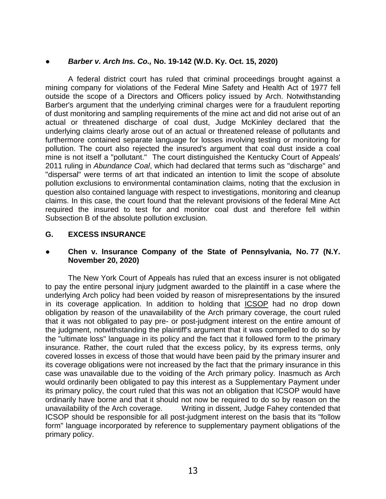#### *● Barber v. Arch Ins. Co.,* **No. 19-142 (W.D. Ky. Oct. 15, 2020)**

A federal district court has ruled that criminal proceedings brought against a mining company for violations of the Federal Mine Safety and Health Act of 1977 fell outside the scope of a Directors and Officers policy issued by Arch. Notwithstanding Barber's argument that the underlying criminal charges were for a fraudulent reporting of dust monitoring and sampling requirements of the mine act and did not arise out of an actual or threatened discharge of coal dust, Judge McKinley declared that the underlying claims clearly arose out of an actual or threatened release of pollutants and furthermore contained separate language for losses involving testing or monitoring for pollution. The court also rejected the insured's argument that coal dust inside a coal mine is not itself a "pollutant." The court distinguished the Kentucky Court of Appeals' 2011 ruling in *Abundance Coal*, which had declared that terms such as "discharge" and "dispersal" were terms of art that indicated an intention to limit the scope of absolute pollution exclusions to environmental contamination claims, noting that the exclusion in question also contained language with respect to investigations, monitoring and cleanup claims. In this case, the court found that the relevant provisions of the federal Mine Act required the insured to test for and monitor coal dust and therefore fell within Subsection B of the absolute pollution exclusion.

#### **G. EXCESS INSURANCE**

#### **● Chen v. Insurance Company of the State of Pennsylvania***,* **No. 77 (N.Y. November 20, 2020)**

The New York Court of Appeals has ruled that an excess insurer is not obligated to pay the entire personal injury judgment awarded to the plaintiff in a case where the underlying Arch policy had been voided by reason of misrepresentations by the insured in its coverage application. In addition to holding that ICSOP had no drop down obligation by reason of the unavailability of the Arch primary coverage, the court ruled that it was not obligated to pay pre- or post-judgment interest on the entire amount of the judgment, notwithstanding the plaintiff's argument that it was compelled to do so by the "ultimate loss" language in its policy and the fact that it followed form to the primary insurance. Rather, the court ruled that the excess policy, by its express terms, only covered losses in excess of those that would have been paid by the primary insurer and its coverage obligations were not increased by the fact that the primary insurance in this case was unavailable due to the voiding of the Arch primary policy. Inasmuch as Arch would ordinarily been obligated to pay this interest as a Supplementary Payment under its primary policy, the court ruled that this was not an obligation that ICSOP would have ordinarily have borne and that it should not now be required to do so by reason on the unavailability of the Arch coverage. Writing in dissent, Judge Fahey contended that ICSOP should be responsible for all post-judgment interest on the basis that its "follow form" language incorporated by reference to supplementary payment obligations of the primary policy.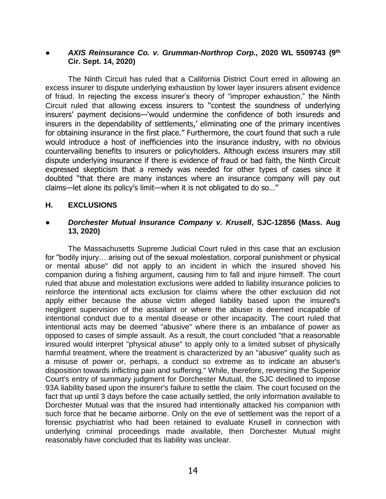## *● AXIS Reinsurance Co. v. Grumman-Northrop Corp.,* **2020 WL 5509743 (9th Cir. Sept. 14, 2020)**

The Ninth Circuit has ruled that a California District Court erred in allowing an excess insurer to dispute underlying exhaustion by lower layer insurers absent evidence of fraud. In rejecting the excess insurer's theory of "improper exhaustion," the Ninth Circuit ruled that allowing excess insurers to "contest the soundness of underlying insurers' payment decisions—'would undermine the confidence of both insureds and insurers in the dependability of settlements,' eliminating one of the primary incentives for obtaining insurance in the first place." Furthermore, the court found that such a rule would introduce a host of inefficiencies into the insurance industry, with no obvious countervailing benefits to insurers or policyholders. Although excess insurers may still dispute underlying insurance if there is evidence of fraud or bad faith, the Ninth Circuit expressed skepticism that a remedy was needed for other types of cases since it doubted "that there are many instances where an insurance company will pay out claims—let alone its policy's limit—when it is not obligated to do so…"

#### **H. EXCLUSIONS**

## *● Dorchester Mutual Insurance Company v. Krusell***, SJC-12856 (Mass. Aug 13, 2020)**

The Massachusetts Supreme Judicial Court ruled in this case that an exclusion for "bodily injury… arising out of the sexual molestation, corporal punishment or physical or mental abuse" did not apply to an incident in which the insured shoved his companion during a fishing argument, causing him to fall and injure himself. The court ruled that abuse and molestation exclusions were added to liability insurance policies to reinforce the intentional acts exclusion for claims where the other exclusion did not apply either because the abuse victim alleged liability based upon the insured's negligent supervision of the assailant or where the abuser is deemed incapable of intentional conduct due to a mental disease or other incapacity. The court ruled that intentional acts may be deemed "abusive" where there is an imbalance of power as opposed to cases of simple assault. As a result, the court concluded "that a reasonable insured would interpret "physical abuse" to apply only to a limited subset of physically harmful treatment, where the treatment is characterized by an "abusive" quality such as a misuse of power or, perhaps, a conduct so extreme as to indicate an abuser's disposition towards inflicting pain and suffering." While, therefore, reversing the Superior Court's entry of summary judgment for Dorchester Mutual, the SJC declined to impose 93A liability based upon the insurer's failure to settle the claim. The court focused on the fact that up until 3 days before the case actually settled, the only information available to Dorchester Mutual was that the insured had intentionally attacked his companion with such force that he became airborne. Only on the eve of settlement was the report of a forensic psychiatrist who had been retained to evaluate Krusell in connection with underlying criminal proceedings made available, then Dorchester Mutual might reasonably have concluded that its liability was unclear.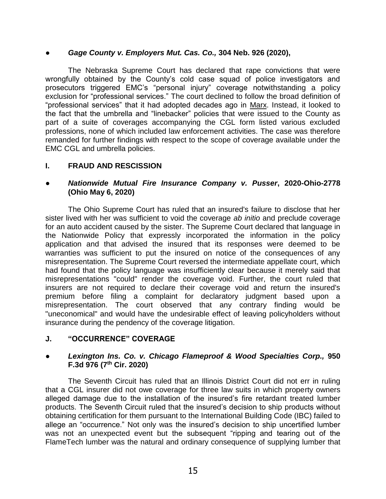## *● Gage County v. Employers Mut. Cas. Co.,* **304 Neb. 926 (2020),**

The Nebraska Supreme Court has declared that rape convictions that were wrongfully obtained by the County's cold case squad of police investigators and prosecutors triggered EMC's "personal injury" coverage notwithstanding a policy exclusion for "professional services." The court declined to follow the broad definition of "professional services" that it had adopted decades ago in Marx. Instead, it looked to the fact that the umbrella and "linebacker" policies that were issued to the County as part of a suite of coverages accompanying the CGL form listed various excluded professions, none of which included law enforcement activities. The case was therefore remanded for further findings with respect to the scope of coverage available under the EMC CGL and umbrella policies.

#### **I. FRAUD AND RESCISSION**

#### *● Nationwide Mutual Fire Insurance Company v. Pusser***, 2020-Ohio-2778 (Ohio May 6, 2020)**

The Ohio Supreme Court has ruled that an insured's failure to disclose that her sister lived with her was sufficient to void the coverage *ab initio* and preclude coverage for an auto accident caused by the sister. The Supreme Court declared that language in the Nationwide Policy that expressly incorporated the information in the policy application and that advised the insured that its responses were deemed to be warranties was sufficient to put the insured on notice of the consequences of any misrepresentation. The Supreme Court reversed the intermediate appellate court, which had found that the policy language was insufficiently clear because it merely said that misrepresentations "could" render the coverage void. Further, the court ruled that insurers are not required to declare their coverage void and return the insured's premium before filing a complaint for declaratory judgment based upon a misrepresentation. The court observed that any contrary finding would be "uneconomical" and would have the undesirable effect of leaving policyholders without insurance during the pendency of the coverage litigation.

#### **J. "OCCURRENCE" COVERAGE**

## *● Lexington Ins. Co. v. Chicago Flameproof & Wood Specialties Corp.,* **950 F.3d 976 (7th Cir. 2020)**

The Seventh Circuit has ruled that an Illinois District Court did not err in ruling that a CGL insurer did not owe coverage for three law suits in which property owners alleged damage due to the installation of the insured's fire retardant treated lumber products. The Seventh Circuit ruled that the insured's decision to ship products without obtaining certification for them pursuant to the International Building Code (IBC) failed to allege an "occurrence." Not only was the insured's decision to ship uncertified lumber was not an unexpected event but the subsequent "ripping and tearing out of the FlameTech lumber was the natural and ordinary consequence of supplying lumber that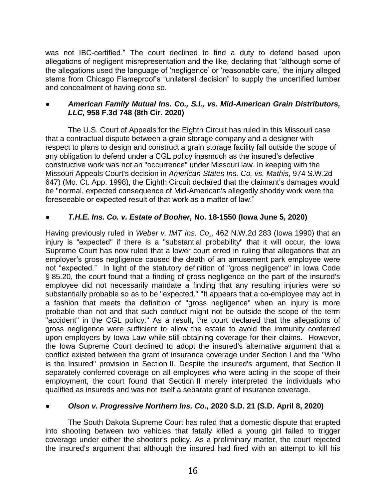was not IBC-certified." The court declined to find a duty to defend based upon allegations of negligent misrepresentation and the like, declaring that "although some of the allegations used the language of 'negligence' or 'reasonable care,' the injury alleged stems from Chicago Flameproof's "unilateral decision" to supply the uncertified lumber and concealment of having done so.

## *● American Family Mutual Ins. Co., S.I., vs. Mid-American Grain Distributors, LLC,* **958 F.3d 748 (8th Cir. 2020)**

The U.S. Court of Appeals for the Eighth Circuit has ruled in this Missouri case that a contractual dispute between a grain storage company and a designer with respect to plans to design and construct a grain storage facility fall outside the scope of any obligation to defend under a CGL policy inasmuch as the insured's defective constructive work was not an "occurrence" under Missouri law. In keeping with the Missouri Appeals Court's decision in *American States Ins. Co. vs. Mathis*, 974 S.W.2d 647) (Mo. Ct. App. 1998), the Eighth Circuit declared that the claimant's damages would be "normal, expected consequence of Mid-American's allegedly shoddy work were the foreseeable or expected result of that work as a matter of law."

## **●** *T.H.E. Ins. Co. v. Estate of Booher,* **No. 18-1550 (Iowa June 5, 2020)**

Having previously ruled in *Weber v. IMT Ins. Co*., 462 N.W.2d 283 (Iowa 1990) that an injury is "expected" if there is a "substantial probability" that it will occur, the Iowa Supreme Court has now ruled that a lower court erred in ruling that allegations that an employer's gross negligence caused the death of an amusement park employee were not "expected." In light of the statutory definition of "gross negligence" in Iowa Code § 85.20, the court found that a finding of gross negligence on the part of the insured's employee did not necessarily mandate a finding that any resulting injuries were so substantially probable so as to be "expected." "It appears that a co-employee may act in a fashion that meets the definition of "gross negligence" when an injury is more probable than not and that such conduct might not be outside the scope of the term "accident" in the CGL policy." As a result, the court declared that the allegations of gross negligence were sufficient to allow the estate to avoid the immunity conferred upon employers by Iowa Law while still obtaining coverage for their claims. However, the Iowa Supreme Court declined to adopt the insured's alternative argument that a conflict existed between the grant of insurance coverage under Section I and the "Who is the Insured" provision in Section II. Despite the insured's argument, that Section II separately conferred coverage on all employees who were acting in the scope of their employment, the court found that Section II merely interpreted the individuals who qualified as insureds and was not itself a separate grant of insurance coverage.

## *● Olson v. Progressive Northern Ins. Co.,* **2020 S.D. 21 (S.D. April 8, 2020)**

The South Dakota Supreme Court has ruled that a domestic dispute that erupted into shooting between two vehicles that fatally killed a young girl failed to trigger coverage under either the shooter's policy. As a preliminary matter, the court rejected the insured's argument that although the insured had fired with an attempt to kill his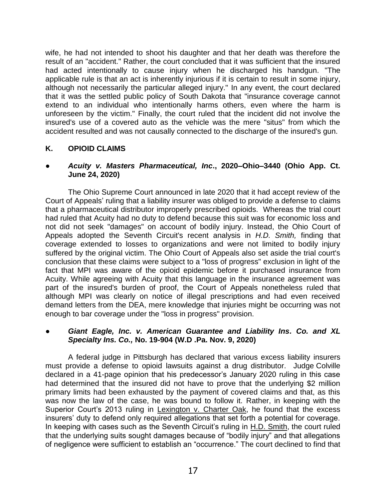wife, he had not intended to shoot his daughter and that her death was therefore the result of an "accident." Rather, the court concluded that it was sufficient that the insured had acted intentionally to cause injury when he discharged his handgun. "The applicable rule is that an act is inherently injurious if it is certain to result in some injury, although not necessarily the particular alleged injury." In any event, the court declared that it was the settled public policy of South Dakota that "insurance coverage cannot extend to an individual who intentionally harms others, even where the harm is unforeseen by the victim." Finally, the court ruled that the incident did not involve the insured's use of a covered auto as the vehicle was the mere "situs" from which the accident resulted and was not causally connected to the discharge of the insured's gun.

## **K. OPIOID CLAIMS**

## *● Acuity v. Masters Pharmaceutical, Inc***., 2020–Ohio–3440 (Ohio App. Ct. June 24, 2020)**

The Ohio Supreme Court announced in late 2020 that it had accept review of the Court of Appeals' ruling that a liability insurer was obliged to provide a defense to claims that a pharmaceutical distributor improperly prescribed opioids. Whereas the trial court had ruled that Acuity had no duty to defend because this suit was for economic loss and not did not seek "damages" on account of bodily injury. Instead, the Ohio Court of Appeals adopted the Seventh Circuit's recent analysis in *H.D. Smith,* finding that coverage extended to losses to organizations and were not limited to bodily injury suffered by the original victim. The Ohio Court of Appeals also set aside the trial court's conclusion that these claims were subject to a "loss of progress" exclusion in light of the fact that MPI was aware of the opioid epidemic before it purchased insurance from Acuity. While agreeing with Acuity that this language in the insurance agreement was part of the insured's burden of proof, the Court of Appeals nonetheless ruled that although MPI was clearly on notice of illegal prescriptions and had even received demand letters from the DEA, mere knowledge that injuries might be occurring was not enough to bar coverage under the "loss in progress" provision.

#### *● Giant Eagle, Inc. v. American Guarantee and Liability Ins. Co. and XL Specialty Ins. Co.,* **No. 19-904 (W.D .Pa. Nov. 9, 2020)**

A federal judge in Pittsburgh has declared that various excess liability insurers must provide a defense to opioid lawsuits against a drug distributor. Judge Colville declared in a 41-page opinion that his predecessor's January 2020 ruling in this case had determined that the insured did not have to prove that the underlying \$2 million primary limits had been exhausted by the payment of covered claims and that, as this was now the law of the case, he was bound to follow it. Rather, in keeping with the Superior Court's 2013 ruling in Lexington v. Charter Oak, he found that the excess insurers' duty to defend only required allegations that set forth a potential for coverage. In keeping with cases such as the Seventh Circuit's ruling in H.D. Smith, the court ruled that the underlying suits sought damages because of "bodily injury" and that allegations of negligence were sufficient to establish an "occurrence." The court declined to find that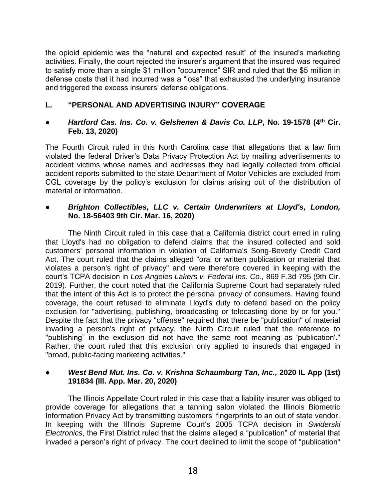the opioid epidemic was the "natural and expected result" of the insured's marketing activities. Finally, the court rejected the insurer's argument that the insured was required to satisfy more than a single \$1 million "occurrence" SIR and ruled that the \$5 million in defense costs that it had incurred was a "loss" that exhausted the underlying insurance and triggered the excess insurers' defense obligations.

## **L. "PERSONAL AND ADVERTISING INJURY" COVERAGE**

#### *● Hartford Cas. Ins. Co. v. Gelshenen & Davis Co. LLP***, No. 19-1578 (4th Cir. Feb. 13, 2020)**

The Fourth Circuit ruled in this North Carolina case that allegations that a law firm violated the federal Driver's Data Privacy Protection Act by mailing advertisements to accident victims whose names and addresses they had legally collected from official accident reports submitted to the state Department of Motor Vehicles are excluded from CGL coverage by the policy's exclusion for claims arising out of the distribution of material or information.

#### *● Brighton Collectibles, LLC v. Certain Underwriters at Lloyd's, London,* **No. 18-56403 9th Cir. Mar. 16, 2020)**

The Ninth Circuit ruled in this case that a California district court erred in ruling that Lloyd's had no obligation to defend claims that the insured collected and sold customers' personal information in violation of California's Song-Beverly Credit Card Act. The court ruled that the claims alleged "oral or written publication or material that violates a person's right of privacy" and were therefore covered in keeping with the court's TCPA decision in *Los Angeles Lakers v. Federal Ins. Co.,* 869 F.3d 795 (9th Cir. 2019). Further, the court noted that the California Supreme Court had separately ruled that the intent of this Act is to protect the personal privacy of consumers. Having found coverage, the court refused to eliminate Lloyd's duty to defend based on the policy exclusion for "advertising, publishing, broadcasting or telecasting done by or for you." Despite the fact that the privacy "offense" required that there be "publication" of material invading a person's right of privacy, the Ninth Circuit ruled that the reference to "publishing" in the exclusion did not have the same root meaning as 'publication'." Rather, the court ruled that this exclusion only applied to insureds that engaged in "broad, public-facing marketing activities."

#### *● West Bend Mut. Ins. Co. v. Krishna Schaumburg Tan, Inc.,* **2020 IL App (1st) 191834 (Ill. App. Mar. 20, 2020)**

The Illinois Appellate Court ruled in this case that a liability insurer was obliged to provide coverage for allegations that a tanning salon violated the Illinois Biometric Information Privacy Act by transmitting customers' fingerprints to an out of state vendor. In keeping with the Illinois Supreme Court's 2005 TCPA decision in *Swiderski Electronics*, the First District ruled that the claims alleged a "publication" of material that invaded a person's right of privacy. The court declined to limit the scope of "publication"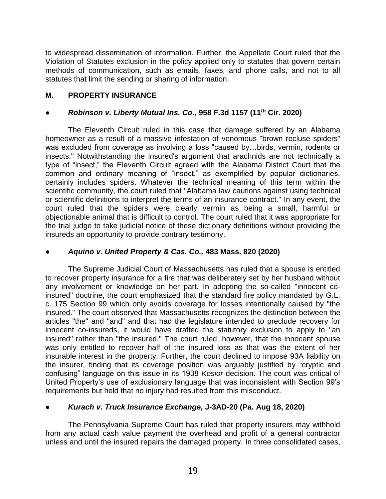to widespread dissemination of information. Further, the Appellate Court ruled that the Violation of Statutes exclusion in the policy applied only to statutes that govern certain methods of communication, such as emails, faxes, and phone calls, and not to all statutes that limit the sending or sharing of information.

## **M. PROPERTY INSURANCE**

## *● Robinson v. Liberty Mutual Ins. Co***., 958 F.3d 1157 (11th Cir. 2020)**

The Eleventh Circuit ruled in this case that damage suffered by an Alabama homeowner as a result of a massive infestation of venomous "brown recluse spiders" was excluded from coverage as involving a loss "caused by…birds, vermin, rodents or insects." Notwithstanding the insured's argument that arachnids are not technically a type of "insect," the Eleventh Circuit agreed with the Alabama District Court that the common and ordinary meaning of "insect," as exemplified by popular dictionaries, certainly includes spiders. Whatever the technical meaning of this term within the scientific community, the court ruled that "Alabama law cautions against using technical or scientific definitions to interpret the terms of an insurance contract." In any event, the court ruled that the spiders were clearly vermin as being a small, harmful or objectionable animal that is difficult to control. The court ruled that it was appropriate for the trial judge to take judicial notice of these dictionary definitions without providing the insureds an opportunity to provide contrary testimony.

## *● Aquino v. United Property & Cas. Co.,* **483 Mass. 820 (2020)**

The Supreme Judicial Court of Massachusetts has ruled that a spouse is entitled to recover property insurance for a fire that was deliberately set by her husband without any involvement or knowledge on her part. In adopting the so-called "innocent coinsured" doctrine, the court emphasized that the standard fire policy mandated by G.L. c. 175 Section 99 which only avoids coverage for losses intentionally caused by "the insured." The court observed that Massachusetts recognizes the distinction between the articles "the" and "and" and that had the legislature intended to preclude recovery for innocent co-insureds, it would have drafted the statutory exclusion to apply to "an insured" rather than "the insured." The court ruled, however, that the innocent spouse was only entitled to recover half of the insured loss as that was the extent of her insurable interest in the property. Further, the court declined to impose 93A liability on the insurer, finding that its coverage position was arguably justified by "cryptic and confusing" language on this issue in its 1938 *Kosior* decision. The court was critical of United Property's use of exclusionary language that was inconsistent with Section 99's requirements but held that no injury had resulted from this misconduct.

## *● Kurach v. Truck Insurance Exchange,* **J-3AD-20 (Pa. Aug 18, 2020)**

The Pennsylvania Supreme Court has ruled that property insurers may withhold from any actual cash value payment the overhead and profit of a general contractor unless and until the insured repairs the damaged property. In three consolidated cases,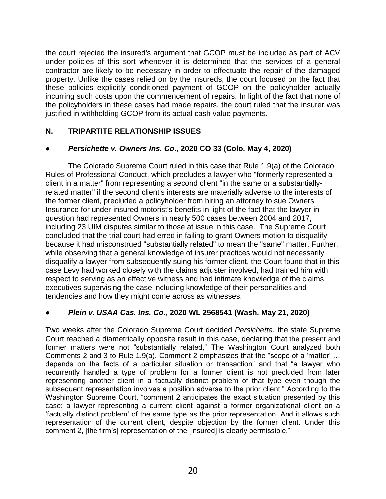the court rejected the insured's argument that GCOP must be included as part of ACV under policies of this sort whenever it is determined that the services of a general contractor are likely to be necessary in order to effectuate the repair of the damaged property. Unlike the cases relied on by the insureds, the court focused on the fact that these policies explicitly conditioned payment of GCOP on the policyholder actually incurring such costs upon the commencement of repairs. In light of the fact that none of the policyholders in these cases had made repairs, the court ruled that the insurer was justified in withholding GCOP from its actual cash value payments.

## **N. TRIPARTITE RELATIONSHIP ISSUES**

## *● Persichette v. Owners Ins. Co***., 2020 CO 33 (Colo. May 4, 2020)**

The Colorado Supreme Court ruled in this case that Rule 1.9(a) of the Colorado Rules of Professional Conduct, which precludes a lawyer who "formerly represented a client in a matter" from representing a second client "in the same or a substantiallyrelated matter" if the second client's interests are materially adverse to the interests of the former client, precluded a policyholder from hiring an attorney to sue Owners Insurance for under-insured motorist's benefits in light of the fact that the lawyer in question had represented Owners in nearly 500 cases between 2004 and 2017, including 23 UIM disputes similar to those at issue in this case. The Supreme Court concluded that the trial court had erred in failing to grant Owners motion to disqualify because it had misconstrued "substantially related" to mean the "same" matter. Further, while observing that a general knowledge of insurer practices would not necessarily disqualify a lawyer from subsequently suing his former client, the Court found that in this case Levy had worked closely with the claims adjuster involved, had trained him with respect to serving as an effective witness and had intimate knowledge of the claims executives supervising the case including knowledge of their personalities and tendencies and how they might come across as witnesses.

#### *● Plein v. USAA Cas. Ins. Co.***, 2020 WL 2568541 (Wash. May 21, 2020)**

Two weeks after the Colorado Supreme Court decided *Persichette*, the state Supreme Court reached a diametrically opposite result in this case, declaring that the present and former matters were not "substantially related," The Washington Court analyzed both Comments 2 and 3 to Rule 1.9(a). Comment 2 emphasizes that the "scope of a 'matter' … depends on the facts of a particular situation or transaction" and that "a lawyer who recurrently handled a type of problem for a former client is not precluded from later representing another client in a factually distinct problem of that type even though the subsequent representation involves a position adverse to the prior client." According to the Washington Supreme Court, "comment 2 anticipates the exact situation presented by this case: a lawyer representing a current client against a former organizational client on a 'factually distinct problem' of the same type as the prior representation. And it allows such representation of the current client, despite objection by the former client. Under this comment 2, [the firm's] representation of the [insured] is clearly permissible."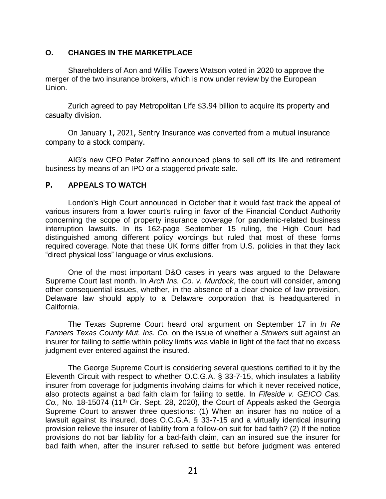## **O. CHANGES IN THE MARKETPLACE**

Shareholders of Aon and Willis Towers Watson voted in 2020 to approve the merger of the two insurance brokers, which is now under review by the European Union.

Zurich agreed to pay Metropolitan Life \$3.94 billion to acquire its property and casualty division.

On January 1, 2021, Sentry Insurance was converted from a mutual insurance company to a stock company.

AIG's new CEO Peter Zaffino announced plans to sell off its life and retirement business by means of an IPO or a staggered private sale.

## **P. APPEALS TO WATCH**

London's High Court announced in October that it would fast track the appeal of various insurers from a lower court's ruling in favor of the Financial Conduct Authority concerning the scope of property insurance coverage for pandemic-related business interruption lawsuits. In its 162-page September 15 ruling, the High Court had distinguished among different policy wordings but ruled that most of these forms required coverage. Note that these UK forms differ from U.S. policies in that they lack "direct physical loss" language or virus exclusions.

One of the most important D&O cases in years was argued to the Delaware Supreme Court last month. In *Arch Ins. Co. v. Murdock*, the court will consider, among other consequential issues, whether, in the absence of a clear choice of law provision, Delaware law should apply to a Delaware corporation that is headquartered in California.

The Texas Supreme Court heard oral argument on September 17 in *In Re Farmers Texas County Mut. Ins. Co.* on the issue of whether a *Stowers* suit against an insurer for failing to settle within policy limits was viable in light of the fact that no excess judgment ever entered against the insured.

The George Supreme Court is considering several questions certified to it by the Eleventh Circuit with respect to whether O.C.G.A. § 33-7-15, which insulates a liability insurer from coverage for judgments involving claims for which it never received notice, also protects against a bad faith claim for failing to settle. In *Fifeside v. GEICO Cas. Co.,* No. 18-15074 (11th Cir. Sept. 28, 2020), the Court of Appeals asked the Georgia Supreme Court to answer three questions: (1) When an insurer has no notice of a lawsuit against its insured, does O.C.G.A. § 33-7-15 and a virtually identical insuring provision relieve the insurer of liability from a follow-on suit for bad faith? (2) If the notice provisions do not bar liability for a bad-faith claim, can an insured sue the insurer for bad faith when, after the insurer refused to settle but before judgment was entered